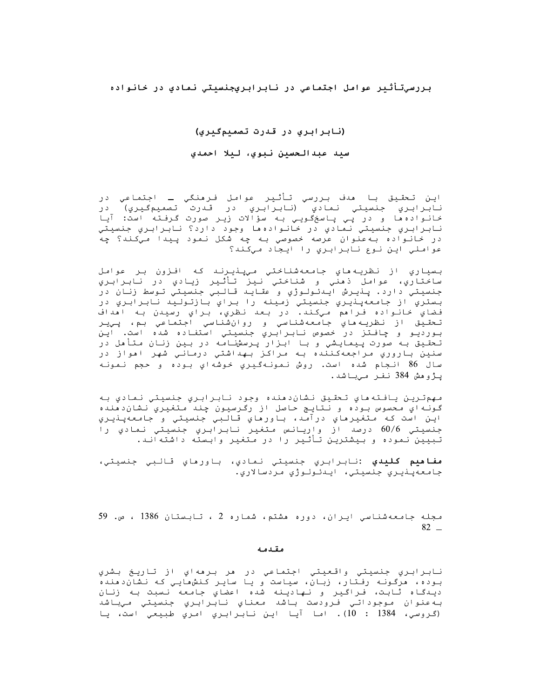بررسيتأثير عوامل اجتماعي در نابرابريجنسيتي نمادى در خانواده

### (نابرابری در قدرت تصمیمگیری)

#### سيد عبدالحسين نبوي، ليلا احمدي

اين تحقيق با مدف بررسي تأثير عوامل فرمنگي ــ اجتماعى در نابرابري جنسيتي نمادي (نابرابري در قدرت تصميمگيري) در .<br>خانواده ها و در پی پاسخگویی به سؤالات زیر صورت گرفته است: آیا نابرابري جنسيتي نمادي در خانوادهها وجود دارد؟ نابرابري جنسيتي در خانواده بهعنوان عرصه خصوصي به چه شکل نمود پيدا ميکند؟ چه عواملي اين نوع نابرابري را ايجاد ميكند؟

بسياري از نظريه هاي جامعه شناختي ميپنيرند كه افزون بر عوامل ساختاري، عوامل ذهني و شناختي نيز تأثير زيادي در نابرابري جنسيتي دارد. پنيرش اينئولوژي و عقايد قالبي جنسيتي توسط زنان در بستري از جامعهپنډيري جنسيتي زمينه را براي بازتوليد نابرابري در فضاي خانواده فراهم ميكند. در بعد نظري، براي رسيدن به اهداف تحقيق از نظريه،اي جامعهشناسي و روانشناسي اجتماعي بم، پيير بورديو و چافتز در خصوص نابرابري جنسيتي استفاده شده است. اين تحقیق به صورت پیمایشی و با ابزار پرسشنامه در بین زنان متأمل در سنين باروري مراجعهكننده به مراكز بهداشتي درماني شهر امواز در سال 86 انـجام شده است. روش نـمونـهگـيـري خـوشهاي بـوده و حـجم نـمونـه پـژوھش 384 نفر مـيباشد.

مهمترين يافته ماي تحقيق نشان‹منده وجود نابرابري جنسيتي نمادي به گونه اي محسوس بوده و نتايج حاصل از رگرسيون چند متغيري نشان‹منده اين است که متغيرهاي درآمد، باورهاي قالبي جنسيتي و جامعهپنيري جنسیتی 60/6 درصد از واریانس متغیر نابرابری جنسیتی نمادی را تبیین نموده و بیشترین تأثیر را در متغیر وابسته داشتهاند.

**مفاهيم كليدي :**نابرابري جنسيتي نمادي، باورهاي قالبي جنسيتي، جامعهيٺيري جنسيتي، اينٺولوژي مردسالاري.

مجله جامعهشناسی ایران، دوره هشتم، شماره 2 ، تابستان 1386 ، ص. 59  $82 -$ 

#### مقدمه

نابرابري جنسيتي واقعيتي اجتماعي در هر برههاي از تاريخ بشري بوده، هرگونه رفتار، زبان، سیاست و یا سایر کنشهایی که نشان‹منده ديعگاه ثابت، فـراگير و نـهاديـنه شده اعضاي جامعه نـسبت بـه زنان به عنوان موجوداتي فرودست باشد معناي نابرابري جنسيتي ميباشد (گروسي، 1384 : 10). اما آيا اين نابرابري امري طبيعي است، يا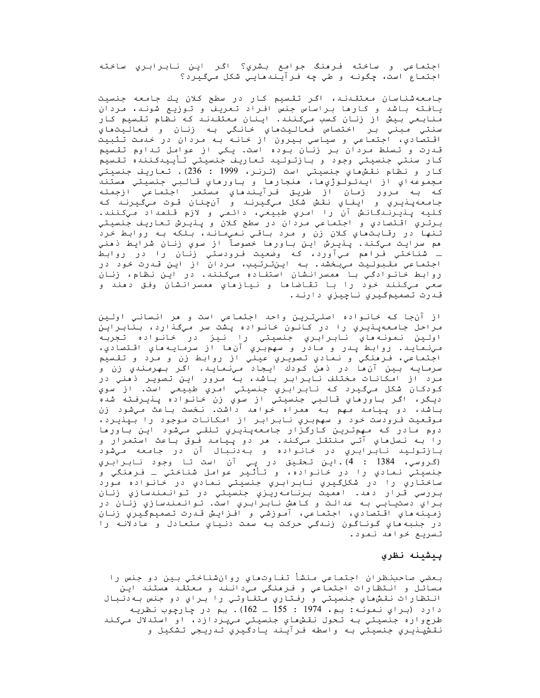اجتماعي و ساخته فرمنگ جوامع بشري؟ اگر اين نابرابري ساخته اجتماع است، چگونه و طي چه فرآيندهايي شکل ميگيرد؟

جامعهشناسان معتقدند، اگر تقسیم کار در سطح کلان یك جامعه جنسیت یافته باشد و کارما براساس جنس افراد تعریف و توزیع شوند، مردان منابعي بيش از زنان كسب ميكنند. اينان معتقىند كه نظام تقسيم كار سنتي مبني بر اختصاص فعاليتهاي خانگي به زنان و فعاليتهاي اقتصادي، اجتماعي و سياسي بيرون از خانه به مردان در خدمت تثبيت قـدرت و تـسلط مـردان بـر زنـان بـوده است. يـکي از عوامل تـداوم تقـسيم كار سنتي جنسيتي وجود و بازتوليد تعاريف جنسيتي تأييدكننده تقسيم كار و نظام نقش هاي جنسيتي است (ترنر، 1999 : 236). تعاريف جنسيتي مجموعهاي از ايىدئولوژي ها، هنجارها و باورهاي قالبي جنسيتي هستند كه بـه مـرور زمـان از طريـق فـرايـنـدهـاي مـستمـر اجـتمـاعي ازجمـلـه جامعهپنيري و ايفاي نقش شکل ميگيرنـد و آنچنان قـوت ميگيرنـد کـه كليه پـذيـرنـدگـانـش آن را امـري طبيعي، دائـمي و لازم قـلمـداد مـِكـنـنـد. برتري اقتصادي و اجتماعي مردان در سطح کلان و پـٺيـرش تـعاريـف جنسيتي تنها در رقابتهاي كلان زن و مرد باقي نمي اند، بلكه به روابط خرد هم سرايت ميكند. پنيرش اين باورها خصوصآ از سوي زنان شرايط ذهني ــ شناختي فـرامم مـيآورد، كـه وضعيت فـرودستي زنـان را در روابط اجتماعي مقبوليت ميبخشد. به اينترتيب، مردان از اين قدرت خود در روابط خانوادگي با همسرانشان استفاده ميکنند. در اين نظام، زنان سعي ميکنند خود را با تقاضاها و نيازهاي همسرانشان وفق دهند و قىدرت تصميمگيري ناچيزي دارند.

از آن جا که خانواده اصليترين واحد اجتماعي است و هر انساني اولين مراحل جامعهینیری را در کانون خانواده یشت سر میگذارد، بنابراین اولين نمونه هاي نابرابري جنسيتي را نيز در خانواده تجربه مي نمايد. روابط پدر و مادر و سهم بري آن ها از سرمايه هاي اقتصادي، اجتماعي، فرهنگي و نمادي تصويري عيني از روابط زن و مرد و تقسيم سرمايـه بـين آنءا در ذهن كـودك ايـجاد مـينـمايـد. اگـر بـهرمـنـدي زن و مرد از امکانات مختلف نابرابر باشد، به مرور این تصویر ذهنی در کودکان شکل ميگيرد که نابرابري جنسيتي امري طبيعي است. از سوي ديگر، اگر باورهاي قالبي جنسيتي از سوي زن خانواده پنيرفته شده باشد، دو پیامد مهم به ممراه خوامد داشت. نخست باعث میشود زن موقعيت فرودست خود و سهمبري نابرابر از امكانات موجود را بپذيرد، دوم مادر که مهمترین کارگزار جامعهپنیري تلقي ميشود اين باورها را بـه نـسلıهاي آتـي مـنتقـل مـيكـند. مر دو پـيامـد فـوق بـاعث استمرار و .<br>بازتولید نابرابرّي در خانواده و بهدنبال آن در جامعه ميشود (گروسي، 1384 : 4).اين تـحقيق در پـي آن است تـا وجود نـابـرابـري جنسيتي نمادي را در خانواده، و تأثير عوامل شناختي ـ فرمنگي و ساختاري را در شکلگيري نابرابري جنسيتي نمادي در خانواده مورد بررسي قرار دهد. اهميت برنامه<code>ري</code>زي جنسيتي در توانمندسازي زنان براي دستيابي به عدالت و كاهش نابرابري است. توانمندسازي زنان در زمينه هاي اقتصادي، اجتماعي، آموزشي و افـزايـش قـدرت تصميمگـيري زنـان در جنبه هاي گوناگون زندگي حرکت به سمت دنياي متعادل و عادلانه را تسریع خواهد نمود.

#### بيشينه نظري

بعضي صاحبنظران اجتماعي منشأ تفاوتهاي روانشناختي بين دو جنس را مسائل و انتظارات اجتماعی و فرمنگی میدانند و معتقد مستند این انتظارات نقشهاي جنسيتي و رفتاري متفاوتي را براي دو جنس به دنبال دارد (براي نمونه: بم، 1974 : 155 ـ 162). بم در چارچوب نظريـه طرحواره جنسيتي به تحول نقشهاي جنسيتي ميپردازد، او استدلال ميکند نقشپنڊيري جنسيتي به واسطه فرآيند يادگيري تدريجي تشکيل و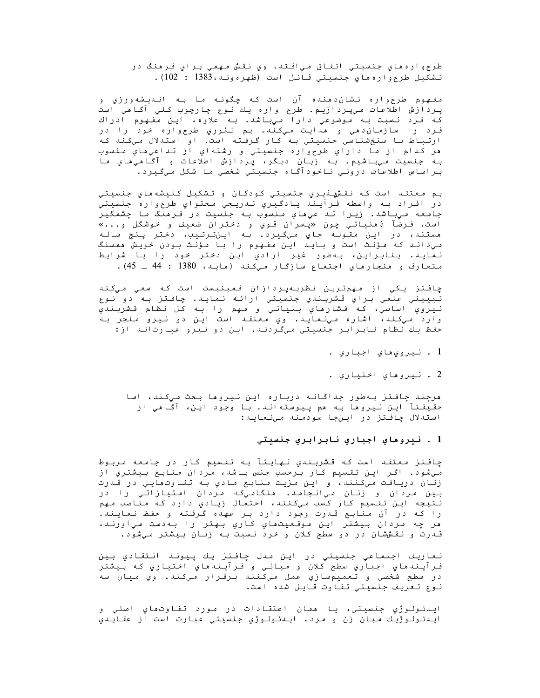طرحواره هاي جنسيتي اتفاق ميافتد. وي نقش مهمي براي فرهنگ در تشكيل طرحواره هاي جنسيتي قائل است (ظهرهوند، 1383 : 102).

مفـهوم طرحواره نـشان‹منده آن است کـه چگونـه مـا بـه انـديـشهورزي و پردازش اطلاعات ميپردازيم. طرح واره يك نوع چارچوب كلي آگاهي است که فـرد نـسبت بـه مـوضوعي دارا مـيباشد. بـه علاوه، ايـن مفـهوم ادراك فرد را سازمان دهي و هدايت ميكند. بم تئوري طرحواره خود را در ارتباط با سنخشناسي جنسيتي به كار گرفته است. او استدلال ميكند كه هر کدام از ما داراي طرحواره جنسيتي و رشتهاي از تداعيِهاي منسوب بـه جنسيت ميباشيم. بـه زبان ديـگر، پـردازش اطلاعات و آگـاهيِهاي مـا براساس اطلاعات دروني ناخودآگاه جنسيتي شخصي ما شكل ميگيرد.

بم معتقد است که نقشپنيري جنسيتي کودکان و تشکيل کليشههاي جنسيتي در افـراد بـه واسطه فـرآيـند يـادگـيري تـدريـجي مـحتواي طرح<code>واره جنسيتي</code> جامعه ميباشد. زيرا تداعيِهاي منسوب به جنسيت در فرهنگ ما چشمگير است. فـرضآ ذهنياتي چون «پسران قـوي و دخـتران ضعيف و خوشگل و...» هستند، در این مقوله جاي میگیرد. به اینترتیب، دختر پنج ساله می داند که مؤنث است و باید این مفهوم را با مؤنث بودن خویش ممسنگ نمايد. بنابراين، بەطور غير ارادي اين دختر خود را با شرايط متعارف و منجارهاي اجتماع سازگار ميكند (مايد، 1380 : 44 ـ 45).

چافتز یکي از مهمترین نظریهپردازان فمینیست است که سعي ميکند تبييني علمي براي قشربندي جنسيتي ارائه نمايد. چافتز به دو نوع نيروي اساسي، كه فشارهاي بنياني و مهم را به كل نظام قشربندي وارد ميکند، اشاره مينمايد. وي معتقد است اين دو نيرو منجر به حفظ يك نظام نابرابر جنسيتي ميگردند. اين دو نيرو عبارتاند از:

- . نيرويھاي اجباري .
- 2 . نيروهاي اختياري .

مرچند چافتز بهطور جداگانه درباره این نیروها بحث میکند، اما حقيقتآ اين نيروها به هم پيوستهاند. با وجود اين، آگاهي از استدلال چافتز در اینجا سودمند مینماید:

### 1 . نيروهاي اجباري نابرابري جنسيتي

چافتز معتقد است که قشربندی نهایتآ به تقسیم کار در جامعه مربوط میشود. اگر این تقسیم کار برحسب جنس باشد، مردان منابع بیشتري از زنان دريافت ميکنند، و اين مزيت منابع مادي به تفاوتھايي در قدرت بين مردان و زنان ميانجامد. هنگاميکه مردان امتيازاتي را در نتيجه اين تقسيم كار كسب ميكنند، احتمال زيادي دارد كه مناصب مهم را که در آن منابع قدرت وجود دارد بر عهده گرفته و حفظ نمایند. مر چه مردان بيشتر اين موقعيتماي كاري بهتر را بهدست ميآورند، قـدرت و نقـششان در دو سطح کلان و خرد نـسبت بـه زنـان بـيشتر مـيشود.

تعاريف اجتماعي جنسيتي در اين مدل چافتز يك پيوند انتقادي بين فـرآيـندهاي اجباري سطح كلان و مياني و فـرآيـندهاي اخـتياري كـه بـيشتر در سطح شخصي و تعميمسازي عمل ميکنند برقـرار ميکند. وي ميان سه نـوع تـعريـف جـنسيـتي تـفـاوت قـايـل شـده است.

ايـدئـولـوژي جنسيتي، يـا ممان اعتقـادات در مـورد تفـاوتماي اصلي و اينئولوژيك ميان زن و مرد. اينئولوژي جنسيتي عبارت است از عقايني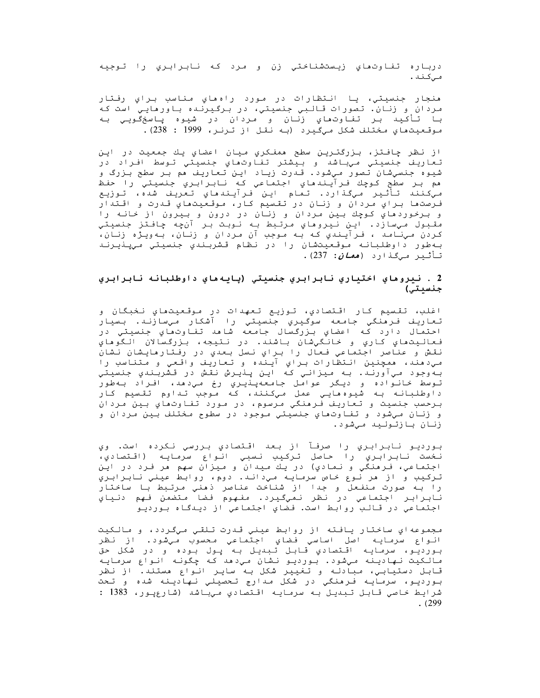درباره تفاوتهاي زيستشناختي زن و مرد كه نابرابري را توجيه مى كىند .

منجار جنسیتی، یا انتظارات در مورد راهمای مناسب برای رفتار مردان و زنان. تصورات قالبي جنسيتي، در برگيرنده باورهايي است که با تأكيد بر تفاوتهاي زنان و مردان در شيوه پاسخگويي به موقعيتهاي مختلف شكل ميگيرد (به نقل از ترنر، 1999 : 238).

از نظر چافتز، بزرگترین سطح ممفکري میان اعضاي یك جمعیت در این تعاريف جنسيتي ميياشد و بيشتر تفاوتهاي جنسيتي توسط افراد در شیوه جنسیشان تصور میشود. قدرت زیاد این تعاریف مم بر سطح بزرگ و هم بر سطح کوچك فرآيندهاي اجتماعي که نابرابري جنسيتي را حفظ ميكنند تأثير ميگذارد. تمام اين فرآيندهاي تعريف شده، توزيع فـرصتها بـراي مـردان و زنـان در تقـسيم كـار، مـوقـعـيـتماي قـدرت و اقـتدار و بـرخوردهاي کوچك بـين مـردان و زنـان در درون و بـيرون از خانـه را مقبول ميسازد. اين نيروهاي مرتبط به نوبت بر آنچه چافتز جنسيتي کردن مـيِنامـد ، فـرآيـندي کـه بـه مـوجب آن مـردان و زنـان، بـهويـژه زنـان، بهطور داوطلبانه موقعيتشان را در نظام قشربندي جنسيتي ميپنيرند تأثیر *میگذ*ارد (*همان: 237).* 

### 2 . نيروهاي اختياري نابرابري جنسيتي (پايههاي داوطلبانه نابرابري جنسيتي)

اغلب، تقسيم كار اقتصادي، توزيع تعهدات در موقعيتهاي نخبگان و تعاريف فرمنگي جامعه سوگيري جنسيتي را آشکار ميسازند. بسيار احتمال دارد كه اعضاي بزرگسال جامعه شاهد تفاوتهاي جنسيتي در فعاليتماي كاري و خانگيشان باشند. در نتيجه، بزرگسالان الگوهاي نقش و عناصر اجتماعي فعال را براي نسل بعدي در رفتارهايشان نشان مي دهند، همچنين انتظارات براي آينده و تعاريف واقعي و متناسب را بهوجود ميآورند. به ميزاني كه اين پذيرش نقش در قشربندي جنسيتي توسط خانواده و ديگر عوامل جامعهپذيري رخ ميدهد، افراد بهطور داوطلبانه به شيوهمايي عمل ميكنند، كه موجب تداوم تقسيم كار برحسب جنسيت و تعاريف فرمنگي مرسوم، در مورد تفاوتهاي بين مردان و زنان ميشود و تفاوتھاي جنسيتي موجود در سطوح مختلف بين مردان و زنان بازتوليد ميشود.

بورديو نابرابري را صرفآ از بعد اقتصادي بررسي نكرده است. وي نخست نابرابري را حاصل تركيب نسبي انواع سرمايه (اقتصادي، اجتماعي، فـرهنگي و نـمادي) در يك ميدان و ميزان سهم هر فـرد در اين تركيب و از مر نوع خاص سرمايه مي داند. دوم، روابط عيني نابرابري را بـه صورت مـنفـعل و جـدا از شناحت عناصر ذهني مـرتـبط بـا ساخـتار ً<br>نـابـرابـر اجـتماعي در نـظر نـميگـيـرد. مفـهوم فـضا مـتضمـن فـهم دنـياي اجتماعي در قالب روابط است. فضاي اجتماعي از ديدگاه بورديو

مجموعهاي ساختار يافته از روابط عيني قدرت تلقي ميگردد، و مالکيت انواع سرمايه اصل اساسي فضاي اجتماعي محسوب ميشود. از نظر بورديو، سرمايه اقتصادي قابل تبديل به پول بوده و در شكل حق مالکیت نهادینه میشود. بوردیو نشان میدهد که چگونه انواع سرمایه قابل دستيابي، مبادله و تغيير شكل به ساير انواع مستند. از نظر بورديو، سرمايه فرمنگي در شکل مدارج تحصيلي نهادينه شده و تحت شرایط خاصی قابل تبدیل به سرمایه اقتصادی میباشد (شارعیور، 1383 :  $. (299$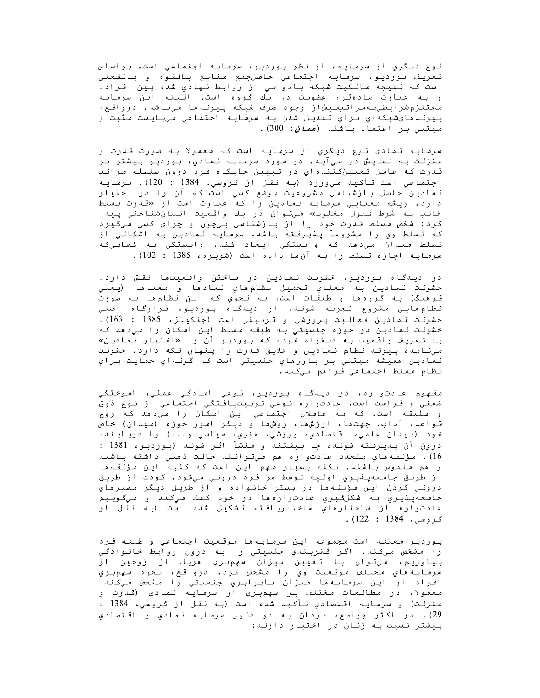نـوع ديـگري از سرمـايـه، از نـظر بـورديـو، سرمـايـه اجـتمـاعي است. بـراساس تعريف بورديو، سرمايه اجتماعي حاصلجمع منابع بالقوه و بالفعلي است كه نتيجه مالكيت شبكه بادوامي از روابط نهادي شده بين افراد، و بـه عبارت سادهتر، عضویت در یـّك كروه است. الّبته ایـن سرمایـه<br>و بـه عبارت سادهتر، عضویـت در یـّك گروه است. الّبته ایـن سرمایـه مستلزمشرايطي بهراتيبيشاز وجود صرف شبكه پيوندها ميباشد. درواقع، پـِيونـدهايشبكهاي بـراي تـبديـل شدن بـه سرمـايـه اجـتمـاعي مـيبـايـست مـثبت و مبتنی بر اعتماد باشند (*همان:* 300).

سرمایـه نـمادی نـوع دیـگری از سرمـایـه است کـه معمولا بـه صورت قـدرت و منزلت به نمایش در ميآید. در مورد سرمایه نمادي، بوردیو بیشتر بر قـدرت کـه عامـل تـعـیـنکـنـنـه اي در تـبـیـن جـایـگـاه فـرد درون سلسلـه مـراتـب اجتماعي است تأكيد مي ورزد (به نقل از گروسي، 1384 : 120). سرمايه نمادین حاصل بازشناسیِ مشروعیت موضع کسیِ است که آن را در اختیار دارد. ریشه *مع*ناییِ سرمایه نمادین را که عبارت است از «قدرت تسلط غالب به شرط قـبول مغلوب» ميتوان در يك واقعيت انـسانشناختي پيدا کرد: شخص مسلط قـدرت خود را از بازشناسي بـيچون و چراي کسي مـيگـيرد که تسلط وي را مشروعآ پنڍرفته باشد. سرمایه نمادین به اشکالی از تسلط ميدان ميډمد که وابستگي ايجاد کند، وابستگي به کسانـيکه سرمایه اجازه تسلط را به آن ها داده است (شوپره، 1385 : 102).

در دیـدگـاه بـوردیـو، خشونـت نـمادیـن در ساختن واقـعیـتما نـقـش دارد. خشونت نمادين به معناي تحميل نظامءاي نمادها و معناها (يعني فـرهنگ) بـه گـروهها و طبقـات است، بـه نـحوي كـه ايـن نـظامِها بـه صورت نظام مایی مشروع تجربه شوند. از دیدگاه بوردیو، قرارگاه اصلی خشونت نمادين فعاليت پرورشي و تربيتي است (جنكينز، 1385 : 163). خشونت نمادين در حوزه جنسيتي به طبقه مسلط اين امكان را ميدهد كه با تعریف واقعیت به دلخواه خود، که بوردیو آن را «اختیار نمادین» مینامد، ییوند نظام نمادین و علایق قدرت را ینهان نگه دارد. خشونت نمادين مميشه مبتني بر باورماي جنسيتي است كه گونهاي حمايت براي نظام مسلط اجتماعي فراهم ميكند.

مفهوم عادتواره، در دیدگاه بوردیو، نوعی آمادگی عملی، آموختگی ضمني و فـراست است. عادتواره نـوعي تـربـيتيـافـتگي اجـتماعي از نـوع ذوق<br>و سليقـه است، كـه بـه عاملان اجـتماعي ايـن امـكان را مـي‹هد كـه روح قـواعد، آداب، جهتما، ارزشها، روشها و دیـگر امـور حـوزه (مـیدان) خاص خود (ميدان علمي، اقتصادي، ورزشي، هنري، سياسي و...) را دريابند، درون آن پـذیـرفـتـه شونـد، جـا بـیفـتـنـد و مـنشأ اثـر شونـد (بـوردیـو، 1381 : 16). مؤلفه هاي متعدد عادتواره هم ميتوانند حالت ذهني داشته باشند و هم ملموس باشند. نکته بسیار مهم این است که کلیه این مؤلفهها از طريق جامعهپنيري اوليه توسط مر فرد دروني ميشود. كودك از طريق دروني كردن اين مؤلّفه ها در بستر خانواده و از طريق ديگر مسيرهاي<br>جامعهپنيري به شكلگيري عادتوارهها در خود كمك ميكند و ميگوييم عادتواره از ساختارهاي ساختاريافته تشكيل شده است (به نقل از گروسى، 1384 : 122).

بـورديـو معتقـد است مـجموعه ايـن سرمايـه ها مـوقـعـيت اجـتماعي و طبقـه فـرد را مشخص ميکند. اگر قشربندي جنسيتي را به درون روابط خانوادگي بياوريم، مي توان با تعيين ميزان سهمبري مريك از زوجين از سرمايـه هاي مختلف موقـعيت وي را مشخص كرد. درواقـع، نـحوه سهمبـري افراد از اين سرمايه ها ميزان نابرابري جنسيتي را مشخص ميكند. معمولا، در مطالعات مختلف بر سهمبري از سرمايه نمادي (قـدرت و منزلت) و سرمایـه اقـتصادي تـأکـیـد شده است (بـه نقـل از گـروسی، 1384 : 29). در اكثر جوامع، مردان به دو دليل سرمايه نمادي و اقتصادي بیشتر نسبت به زنان در اختیار دارند: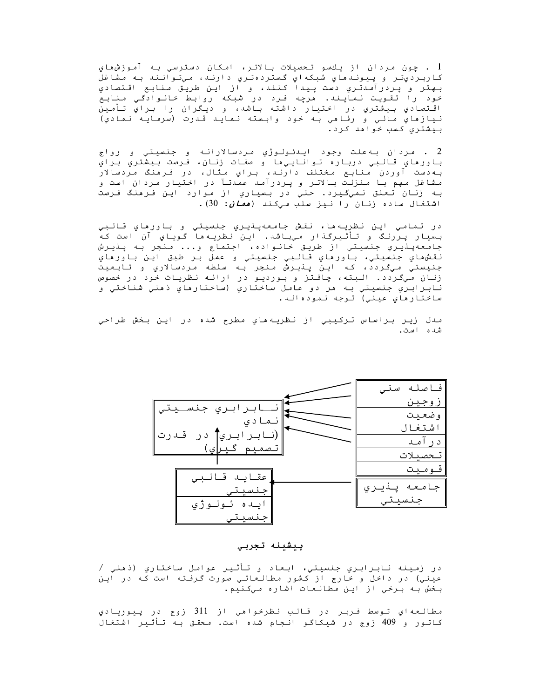1 . چون مردان از يكسو تحصيلات بالاتر، امكان دسترسي به آموزش،هاي کاربرديِتر و پيوندهاي شبکهاي گستردهتري دارند، ميتوانند به مشاغل .<br>بـهتر و پردرآمدتـري دست پـيدا كـنند، و از ايـن طريـق مـنابـع اقـتصادي خود را تقویت نمایند. مرچه فرد در شبکه روابط خانوادگی منابع اقـتصادي بيشتري در اختيار داشته بـاشد، و ديـگران را بـراي تـأمين نيازهاي مالـي و رفـاهي بـه خـود وابـسته نـمايـد قـدرت (سرمـايـه نـمادي) بيشتري كسب خواهد كرد.

2 . مردان به علت وجود ايـدئـولـوژي مردسالارانـه و جنسيتي و رواج باورهاي قالبي درباره تواناييها و صفات زنان، فرصت بيشتري براي به دست آوردن منابع مختلف دارند، براي مثال، در فرهنگ مردسالار مشاغل مهم با منزلت بالاتر و پردرآمد عمدتآ در اختیار مردان است و به زنان تعلق نميگيرد. حتي در بسياري از موارد اين فرهنگ فرصت اشتغال ساده زنان را نیز سلب میکند (*همان*: 30).

در تمامي اين نظريهها، نقش جامعهپذيري جنسيتي و باورهاي قالبي بسيار پررنگ و تأثيرگذار ميباشد. اين نظريه ها گوياي آن است كه جامعهپنيري جنسيتي از طريق خانواده، اجتماع و... منجر به پنيرش نقش،هاي جنسيتي، باورهاي قالبي جنسيتي و عمل بر طبق اين باورهاي جنيستي ميگردد، که اين پنيرش منجر به سلطه مردسالاري و تابعيت زنان ميگردد. البته، چافتز و بورديو در ارائه نظريات خود در خصوص نابرابري جنسيتي به مر دو عامل ساختاري (ساختارهاي ذمني شناختي و ساختارهاي عيني) توجه نموده اند.

مدل زير براساس تركيبي از نظريه،هاي مطرح شده در اين بخش طراحي شده است.



#### ييشينه تجربي

در زمينه نابرابري جنسيتي، ابعاد و تأثير عوامل ساختاري (ذهني / عینی) در داخل و خارج از کشور مطالعاتی صورت گرفته است که در این بخش به برخی از این مطالعات اشاره میکنیم.

مطالعهای توسط فربر در قالب نظرخواهی از 311 زوج در پیوریادی کاتور و 409 زوج در شیکاگو انجام شده است. محقق به تأثیر اشتغال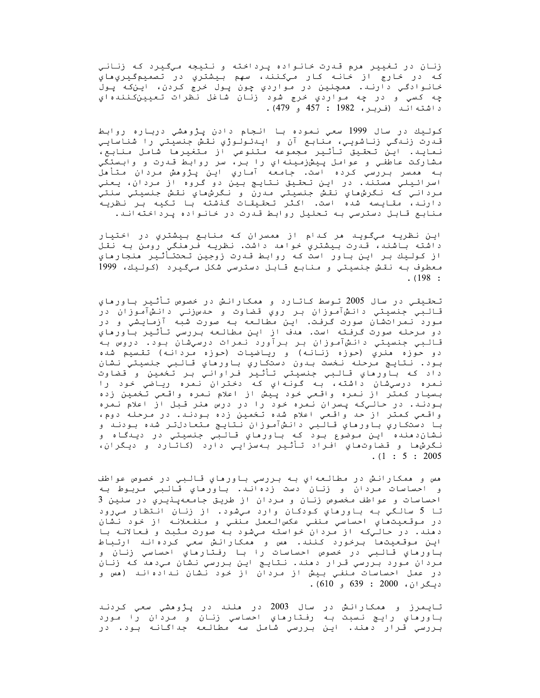زنان در تغيير هرم قدرت خانواده پرداخته و نتيجه ميگيرد كه زناني كه در خارج از خانه كار ميكنند، سهم بيشتري در تصميمگيريهاي خانوادگي دارند. ممچنين در مواردي چون پول خرج کردن، اين که پول چه کسي و در چه مواردي خرج شود زنان شاغل نظرات تعيينکنندهاي داشته اند (فربر، 1982 : 457 و 479).

كوليك در سال 1999 سعي نموده با انجام دادن پژوهشي درباره روابط قـدرت زنـدگـي زنـاشويـي، مـنابـع آن و ايـدئـولـوژي نـقـش جـنسيـتـي را شـناسايـي نمايد. اين تحقيق تأثير مجموعه متنوعي از متغيرها شامل منابع، مشاركت عاطفي و عوامل پيشن(مينه اي را بر، سر روابط قـدرت و وابـستگي<br>بـه همسر بـررسي كـرده است. جامعه آمـاري ايـن پـژوهش مـردان مـتأهل اسرائيلي مستند. در اين تحقيق نتايج بين دو گروه از مردان، يعني مردانـي کـه نـگرش،هاي نقـش جنسيـتي مـدرن و نـگرش،هاي نـقـش جـنسيـتي سنـتي دارند، مقایسه شده است. اکثر تحقیقات گذشته با تکیه بر نظریه منابع قابل دسترسي به تحليل روابط قدرت در خانواده پرداختهاند.

این نظریه میگوید مر کدام از ممسران که منابع بیشتري در اختیار داشته باشند، قـدرت بيشتري خواهد داشت. نظريـه فـرهنگي رومن بـه نقـل از كوليك بر اين باور است كه روابط قدرت زوجين تحتتأثير منجارماي معطوف بـه نقش جنسيتي و منابع قـابـل دسترسي شكل ميگـيرد (كـولـيك، 1999  $. (198:$ 

تحقیقی در سال 2005 توسط کاتارد و ممکارانش در خصوص تأثیر باورماي قالبي جنسيتي دانشآموزان بر روي قضاوت و حدسزني دانشآموزان در مورد نمراتشان صورت گرفت. این مطالعه به صورت شبه آزمایشی و در دو مرحله صورت گرفته است. هدف از اين مطالعه بررسي تأثير باورهاي قالبي جنسيتي دانشآموزان بر برآورد نمرات درسيشان بود. دروس به دو حوزه هنري (حوزه زنانـه) و ريـاضيات (حوزه مـردانـه) تقسيم شده بود. نتايج مرحله نخست بدون دستكاري باورماي قالبي جنسيتي نشان داد که باورماي قالبي جنسيتي تأثير فراواني بر تخمين و قضاوت نمره درسيشان داشته، بـه گـونـهاي كـه دختران نـمره ريـاضي خود را بسيار كمتر از نمره واقعي خود پيش از اعلام نمره واقعي تخمين زده بودند. در حاليکه پسران نمره خود را در درس هنر قبل از اعلام نمره واقعي کمتر از حد واقعي اعلام شده تخمين زده بودند. در مرحله دوم، با دستکاري باورماي قالبي دانشآموزان نتايج متعادلتر شده بودند و نشان‹منده اين موضوع بود كه باورماي قالبي جنسيتي در ديدگاه و نگرشها و قضاوتهاي افراد تأثير بهسزايي دارد (كاتارد و ديگران،  $(1:5:2005$ 

هس و همکارانش در مطالعهاي به بررسي باورهاي قالبي در خصوص عواطف و احساسات مردان و زنان دست زدهاند. باورهاي قالبي مربوط به احساسات و عواطف مخصوص زنان و مردان از طريق جامعهپنيري در سنين 3 تا 5 سالگي به باورهاي كودكان وارد ميشود. از زنان انتظار ميرود در موقعيتهاي احساسي منفي عكسالعمل منفي و منفعلانه از خود نشان دمند. در حالیکه از مردان خواسته میشود به صورت مثبت و فعالانه با اين موقعيتها برخورد كنند. مس و ممكارانش سعي كردهاند ارتباط باورهاي قالبي در خصوص احساسات را با رفتارهاي احساسي زنان و مردان مورد بررسي قرار دهند. نتايج اين بررسي نشان ميدهد که زنان در عمل احساسات منفي بيش از مردان از خود نشان ندادهاند (مس و ديـگران، 2000 : 639 و 610).

تايمرز و همكارانش در سال 2003 در ملند در پژوهشي سعي كردند باورهاي رايـج نـسبت بـه رفـتارهاي احساسي زنـان و مـردان را مـورد<br>بـررسي قـرار دهند. ايـن بـررسي شامل سه مطالعه جداگـانـه بـود. در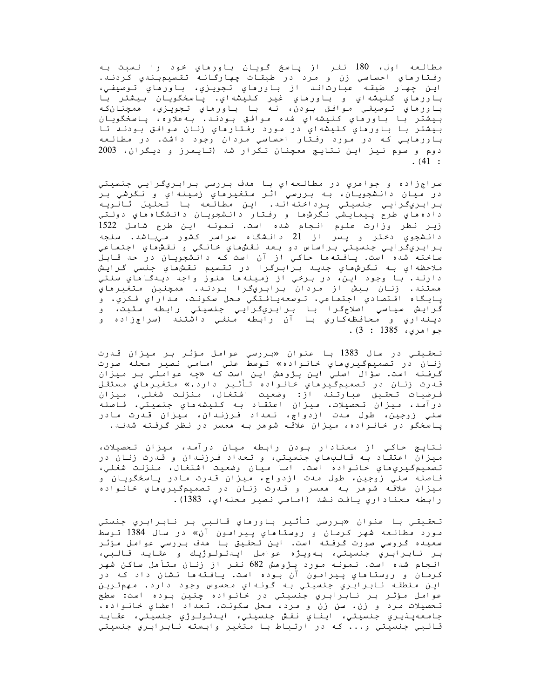مطالعه اول، 180 نفر از پاسخ گويان باورماي خود را نسبت به رفتارهاي احساسي زن و مرد در طبقات چهارگانه تقسيمبندي كردند. .<br>اين چهار طبقه عبارت اند از باورهاي تجويزي، باورهاي توصيفي، باورماي كليشهاي و باورماي غير كليشهاي. پاسخگويان بيشتر با باورماي تـوصيفـي مـوافـق بـودن، نـه بـا بـاورماي تـجويـزي، ممـجنـانكـه بيشتر با باورماي كليشهاي شده موافق بودند. بهعلاوه، پاسخگويان بيشتر با باورهاي كليشهاي در مورد رفتارهاي زنان موافق بودند تا باورهايي که در مورد رفتار احساسي مردان وجود داشت. در مطالعه دوم و سوم نیز این نتایج ممچنان تکرار شد (تایمرز و دیگران، 2003  $(41:$ 

سراجزاده و جواهري در مطالعهاي با هدف بررسي برابريگرايي جنسيتي در ميان دانشجويان، به بررسي اثر متغيرهاي زمينهاي و نگرشي بر برابريګرايي جنسيتي پرداخته آند. آاين آمطالعه با تحليل ثانويه داده هاي طرح پيمايشي نگرش ها و رفتار دانشجويان دانشگاه هاي دولتي زیر نظر وزارت علوم انجام شده است. نمونه این طرح شامل 1522 دانشجوي دختر و پسر از 21 دانشگاه سراسر کشور ميباشد. سنجه برابريگرايي جنسيتي براساس دو بعد نقشھاي خانگي و نقشھاي اجتماعي ساخته شده است. یافته ها حاکی از آن است که دانشجویان در حد قابل ملاحظهاي بـه نـگرشهاي جديـد بـرابـرگـرا در تقـسيم نقـشماي جنسي گـرايـش دارند. با وجود اين، در برخي از زمينه ها هنوز واجد ديدگاهاي سنتي مستند. زنان بيش از مردان برابريگرا بودند. ممچنين متغيرماي پايگاه اقـتصادي اجتماعي، تـوسعهيافـتگي محل سکونـت، مـداراي فـکري، و گرايش سياسي اصلاحگرا با برابريگرايي جنسيتي رابطه مثبت، و دينداري و محافظهكاري با آن رابطه منفي داشتند (سراجزاده و  $.3:1385.$ جواهري، 1385

تـحقـيقـي در سال 1383 بـا عنوان «بـررسي عوامل مـؤثـر بـر مـيزان قـدرت زنان در تصميمگيريهاي خانواده» توسط علي امامي نصير محله صورت گرفته است. سؤال اصلی این پژوهش این است که «چه عواملی بر میزان قـدرت زنـان در تصميمگـيرهاي خـانـواده تـأثـير دارد.» مـتغيرهاي مـستقـل فرضيات تحقيق عبارتند از: وضعيت اشتغال، منزلت شغلي، ميزان درآمد، میزان تحصیلات، میزان اعتقاد به کلیشههاي جنسیتي، فاصله سني زوجين، طول مدت ازدواج، تعداد فـرزنـدان، ميزان قـدرت مادر پاسخگو در خانواده، میزان علاقه شوهر به همسر در نظر گرفته شدند.

نتایج حاکی از معنادار بودن رابطه میان درآمد، میزان تحصیلات، میزان اعتقاد به قالبهای جنسیتی، و تعداد فرزندان و قدرت زنان در تصميم گيريِ ماي خانواده است. اما ميان وضعيت اشتغال، منزلت شغلي، فاصله سني زوجين، طول مدت ازدواج، ميزان قدرت مادر پاسخگويان و ميزان علاقه شوهر به همسر و قدرت زنان در تصميمگيريهاي خانواده رابطه معناداري يافت نشد (امامي نصير محلهاي، 1383).

تحقيقـي بـا عنوان «بـررسي تـأثـير بـاورهاي قـالـبي بـر نـابـرابـري جنستي مورد مطالعه شهر كرمان و روستاهاي پيرامون آن» در سال 1384 توسط سعیده گروسی صورت گرفته است. این تحقیق با مدف بررسی عوامل مؤثر بر نابر آبري جنسيتي، بهويژه عوامل ايلانولوژيك قايد قالبي، انجام شده است. نمونه مورد پژوهش 682 نفر از زنان متأمل ساکن شهر کرمان و روستاماي پيرامون آن بوده است. يافته ما نشان داد که در اين منطقه نابرابري جنسيتي به گونهاي محسوس وجود دارد. مهمترين عوامل مؤثر بر نابرابري جنسيتي در خانواده چنين بوده است: سطح تحصيلات مرد و زن، سن زن و مرد، محل سكونت، تعداد اعضاي خانواده، جامعهينيري جنسيتي، ايفاي نقش جنسيتي، اينئولوژي جنسيتي، عقايد قالبي جنسيتي و... که در ارتباط با متغير وابسته نابرابري جنسيتي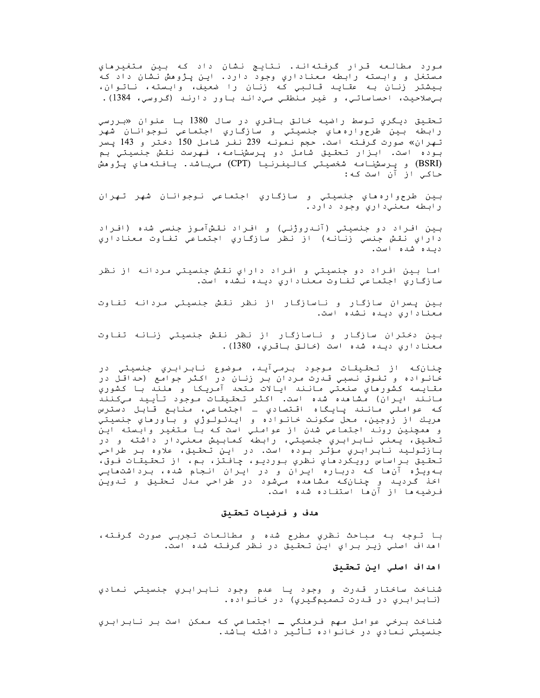مورد مطالعه قرار گرفتهاند. نتايج نشان داد که بين متغيرهاي مستغل و وابسته رابطه معناداري وجود دارد. اين پژوهش نشان داد که بيشتر زنان به عقايد قالبي كه زنان را ضعيف، وابسته، ناتوان، بیصلاحیت، احساساتی، و غیر منطقی میداند باور دارند (گروسی، 1384).

تحقيق ديگري تـوسط راضيه خالـق بـاقـري در سال 1380 بـا عنوان «بـررسي رابطه بين طرحوارهماي جنسيتي و سازگاري اجتماعي نـوجوانـان شهر تهران» صورت گرفته است. حجم نمونه 239 نفر شامل 150 دختر و 143 پسر بوده است. ابزار تحقیق شامل دو پرسشنامه، فهرست نقش جنسیتیِ بم (BSRI) و پرسشنامه شخصيتي كاليفرنيا (CPT) ميباشد. يافته ماي پژوهش حاکـی از آن است کـه:

بين طرحواره هاي جنسيتي و سازگاري اجتماعي نـوجوانـان شهر تـهران رابطه معني داري وجود دارد.

بين افـراد دو جنسيتي (آنـدروژنـي) و افـراد نقـشآمـوز جنسي شده (افـراد داراي نقش جنسي زنانه) از نظر سازگاري اجتماعي تفاوت معناداري دىيە شەه است.

اما بين افراد دو جنسيتي و افراد داراي نقش جنسيتي مردانه از نظر سازگاري اجتماعي تفاوت معناداري ديده نشده است.

بين پسران سازگار و ناسازگار از نظر نقش جنسيتي مردانه تفاوت معناداري ديده نشده است.

بین دختران سازگار و ناسازگار از نظر نقش جنسیتی زنانه تفاوت معناداری دیده شده است (خالق باقری، 1380).

چنان که از تحقیقات موجود برميآيد، موضوع نابرابري جنسيتي در خانواده و تفوق نسبی قدرت مردان بر زنان در اکثر جوامع (حداقل در مقايسه كشورهاي صنعتي مانند ايالات متحد آمريكا و هلند با كشوري مانند ايران) مشامده شده است. اكثر تحقيقات موجود تأييد ميكنند كه عواملي مانند پايگاه اقتصادي ــ اجتماعي، منابع قابل دسترس مريك از زوجين، محل سكونت خانواده و ايـدئـولـوژي و باورهاي جنسيتي و ممچنين روند اجتماعي شدن از عواملي است كه با متغير وابسته اين تـحقـيق، يـعني نـابـرابـري جنسيتي، رابـطه كمابـيش مـعنيدار داشته و در<br>بـازتـولـيد نـابـرابـري مـؤثـر بـوده است. در ايـن تـحقـيق، علاوه بـر طراحي تحقيق براساس رويكردهاي نظري بورديو، چافتز، بم، از تحقيقات فوق، به ویژه آن ها که درباره ایران و در ایران انجام شده، برداشتهایی اخذ گرديد و چنانکه مشاهده ميشود در طراحي مدل تحقيق و تدوين فـرضيه ها از آن ها استفـاده شده است.

### هدف و فرضيات تحقيق

با تـوجه بـه مـباحث نـظري مطرح شده و مطالـعات تـجربـي صورت گـرفـته، اهداف اصلي زير براي اين تحقيق در نظر گرفته شده است.

### اهداف اصلي اين تحقيق

شناخت ساختار قدرت و وجود يا عدم وجود نابرابري جنسيتي نمادي (نابرابري در قدرت تصميمگيري) در خانواده.

شناخت برخي عوامل مهم فرهنگي ــ اجتماعي که ممکن است بر نابرابري جنسیتی نمادی در خانواده تأثیر داشته باشد.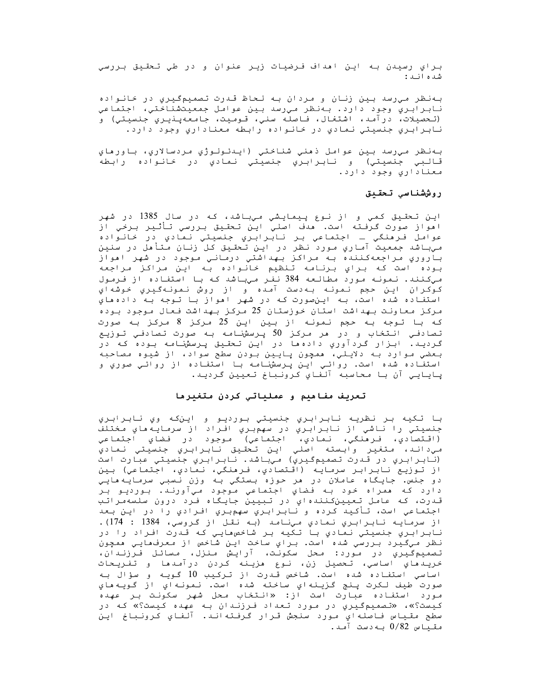براي رسيدن به اين اهداف فرضيات زير عنوان و در طي تحقيق بررسي شده اند:

بهنظر ميرسد بين زنان و مردان به لحاظ قدرت تصميمگيري در خانواده نابرابري وجود دارد. بهنظر ميرسد بين عوامل جمعيتشناختي، اجتماعي (تحصيلات، درآمد، اشتغال، فاصله سني، قوميت، جامعهپذيري جنسيتي) و نابرابري جنسيتي نمادي در خانواده رابطه معناداري وجود دارد.

بهنظر ميıسد بين عوامل ذهني شناختي (ايدئولوژي مردسالاري، باورهاي قالبي جنسيتي) و نابرابري جنسيتي نمادي در خانواده رابطه معناداري وجود دارد.

## روششناسي تحقيق

اين تحقيق كمي و از نوع پيمايشي ميباشد، كه در سال 1385 در شهر امواز صورت گرفته است. هدف اصلي اين تحقيق بررسي تأثير برخي از عوامل فرهنگي ــ اجتماعي بـر نـابـرابـري جنسيـتي نـمادي در خانـواده<br>ميبـاشد جمعيت آمـاري مـورد نـظر در ايـن تـحقـيق كـل زنـان مـتأهل در سنين باروري مراجعهکننده به مراکز بهداشتي درماني موجود در شهر اهواز بوده است كه براي برنامه تنظيم خانواده به اين مراكز مراجعه مي كنند. نمونه مورد مطالعه 384 نفر مي باشد كه با استفاده از فرمول كوكران اين حجم نمونه بهدست آمده و از روش نمونهگيري خوشهاي استفاده شده است، به اينصورت که در شهر امواز با توجه به دادهماي مرکز معاونت بهداشت استان خوزستان 25 مرکز بهداشت فعال موجود بوده كه با توجه به حجم نمونه از بين اين 25 مركز 8 مركز به صورت تصادفي انتخاب و در مر مرکز 50 پرسشنامه به صورت تصادفي توزيع گرديد. ابزار گردآوري دادهها در اين تحقيق پرسشنامه بوده که در بعضي موارد به دلايلي، همچون پايين بودن سطح سواد، از شيوه مصاحبه استفـاده شده است. روائـي ايـن پـرسشنـامـه بـا استفـاده از روائـي صوري و پايايي آن با محاسبه آلفاي كرونباخ تعيين گرديد.

### تعريف مفاهيم و عملياتي كردن متغيرها

با تکيه بر نظريه نابرابري جنسيتي بورديو و اينکه وي نابرابري جنسيتي را ناشي از نابرابري در سهمبري افراد از سرمايه هاي مختلف (اقتصادي، فرمنگي، نمادي، اجتماعي) موجود در فضاي اجتماعي مي داند، متغير وابسته اصلي اين تحقيق نابرابري جنسيتي نمادي (نابرابري در قدرت تصميمگيري) ميباشد. نابرابري جنسيتي عبارت است از توزيع نابرابر سرمايه (اقتصادي، فرمنگي، نمادي، اجتماعي) بين دو جنس. جايگاه عاملان در هر حوزه بستگي به وزن نسبي سرمايههايي دارد كه ممراه خود به فضاي اجتماعي موجود ميآورند. بورديو بر قدرت، كه عامل تعيينكنندهاي در تبيين جايگاه فرد درون سلسهمراتب اجتماعي است، تأكيد كرده و نابرابري سهمبري افرادي را در اين بعد از سرمايـه نـابـرابـري نـمادي مـينـامـد (بـه نقـل از گـروسي، 1384 : 174). نابرابري جنسيتي نمادي با تكيه بر شاخص،هايي كه قدرت افراد را در نظر ميگيرد بررسي شده است. براي ساخت اين شاخص از معرفهايي ممچون تصميم مُيرَيِّ دَرَّ مُورد: محل سَكُونَّت، آرايَشْ مَنزَلْ، مسائَل فَتْرَزَنْدَانْ، خريدهاي اساسي، تحصيل زن، نوع هزينه كردن درآمدها و تفريحات اساسي استفاده شده است. شاخص قـدرت از تـرکـیب 10 گـویـه و سؤال بـه صورت طيف لکرت پنج گزينهاي ساخته شده است. نمونهاي از گويههاي مورد استفاده عبارت است از: «انتخاب محل شهر سكونت بر عهده کیست؟»، «تصمیمگیري در مورد تعداد فرزندان به عهده کیست؟» که در سطح مقياس فاصلهاي مورد سنجش قرار گرفتهاند. آلفاي كرونباخ اين مقیاس 0/82 به دست آمد.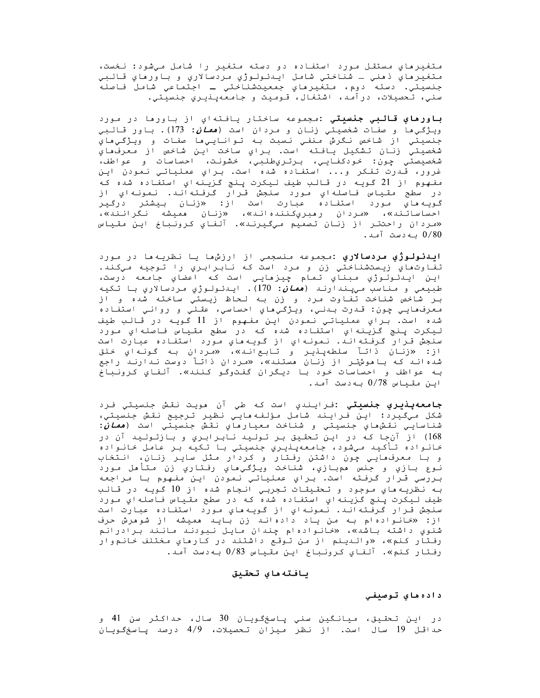متغيرهاي مستقل مورد استفاده دو دسته متغير را شامل ميشود: نخست، متغيرهاي ذهني ـ شناختي شامل ايدئولوژي مردسالاري و باورهاي قالبي جنسيتي. دسته دوم، متغيرهاي جمعيتشناختي ـ اجتماعي شامل فاصله سني، تحصيلات، درآمد، اشتغال، قـوميت و جامعهپـذيـري جنسيتي.

**باورماي قالبي جنسيتي :**مجموعه ساختار يافتهاي از باورها در مورد ويـژگـي•ا و صفـات شخصيتي زنـان و مـردان است (*معان*: 173). باور قـالـبي جنسيتي از شاخص نگرش منفي نسبت به توانايي،ا صفات و ويژگي،اي شخصيتي زنان تشكيل يافته است. براي ساخت اين شاخص از معرفهاي شخصيصتي چون: خودکفايي، برتريطلبي، خشونت، احساسات و عواطف، غرور، قـدرت تفكر و... استفاده شده است. بـراي عملياتي نـمودن ايـن مفهوم از 21 گويـه در قـالـب طيف لـيكرت پـنج گـزيـنهاي استفـاده شده كـه در سطح مقياس فاصلهاي مورد سنجش قرار گرفتهاند. نمونهاي از گویـه هایِ مـوَرد استفـاده عبارت است از: «زنـان بـیشتر درگـیر<br>احساساتـند»، «مـردان رهبريکـنـندهانـد»، «زنـان همیشه نـگرانـند»، «مردان راحتتر از زنان تصميم ميگيرند». آلفاي كرونباخ اين مقياس بەدست آمد.  $0/80$ 

**اینئولوژي مردسالاري :**مجموعه منسجمي از ارزشها یا نظریهها در مورد تفاوتماي زيستشناختي زن و مرد است كه نابرابري را توجيه ميكند. اين ايـدئـولـوژي مـبناي تـمام چيزمايـي است كـه اعضاي جامعه درست، طبيعي و *م*ناسب *ميپ*ندارنـد (*همان*: 170). ايـدئـولـوژي مـردسالاري بـا تـكيه بـر شاخص شناخت تفاوت مرد و زن بـه لـحاظ زیـستی ساخته شده و از معرف،هايي چون: قدرت بدني، ويژگي،هاي احساسي، عقلي و رواني استفاده شده است. براي عملياتي نمودن اين مفهوم از 11 گويه در قالب طيف ليکرت پنج گزينهاي استفاده شده که در سطح مقياس فاصلهاي مورد سنجش قـرار گـرفـتهانـد. نـمونـهاي از گـويـه ماي مـورد استفـاده عبـارت است از: «زنان ذاتاً سلطهپنير و تابعاند»، «مردان به گونهاي خلق شده انـد کـه بـاهوشتـر از زنـان هستند»، «مردان ذاتـآ دوست نـدارنـد راجع بـه عواطف و احساسات خود بـا ديگران گفـتوگـو كـنـنـه». آلـفـاي كـرونـبـاخ اين مقياس 0/78 به دست آمد.

**جامعهپذيري جنسيتي :**فـرايـندي است کـه طي آن هويـت نـقـش جنسيـتي فـرد شكل ميگيرد؛ اين فرايند شامل مؤلفههايي نظير ترجيح نقش جنسيتي، شناسايـي نقش،هاي جنسيتي و شناخت معيارهاي نقش جنسيتي است (*همان*: 168) از آنجا که در این تحقیق بر تولید نابرابری و بازتولید آن در خانواده تأكيد ميشود، جامعهپنيري جنسيتي با تكيه بر عامل خانواده و با معرف،ایي چون داشتن رفتار و کردار مثل سایر زنان، انتخاب نـوع بـازي و جنس همبـازي، شناخت ويـژگـيهاي رفـتاري زن مـتأهل مـورد بررسي قرار گرفته است. براي عملياتي نمودن اين مفهوم با مراجعه بـه نظريـه هاي موجود و تـحقـيقـات تـجربـي انـجام شده از 10 گـويـه در قـالـب طيف ليکرت پنج گزينه اي استفاده شده که در سطح مقياس فاصله اي مورد سنجش قـرار گرفـتهانـد. نـمونـهاي از گـويـه هاي مـورد استفـاده عبارت است از: «خانوادهام به من ياد دادهاند زن بايد هميشه از شوهرش حرف شنوي داشته باشد»، «خانوادهام چندان مايل نبودند مانند برادرانم رفـتار کـنم»، «والـديـنم از مـن تـوقـع داشتـند در کـارهاي مـختلف خـانـم<code>وار</code> رفتار كنم». آلفاي كرونباخ اين مقياس 0/83 بهدست آمد.

### يافته ماي تحقيق

### داده هاي توصيفي

در اين تحقيق، ميانگين سني پاسخگويان 30 سال، حداکثر سن 41 و حداقل 19 سال است. از نظر میزان تحصیلات، 4/9 درصد یاسخگویان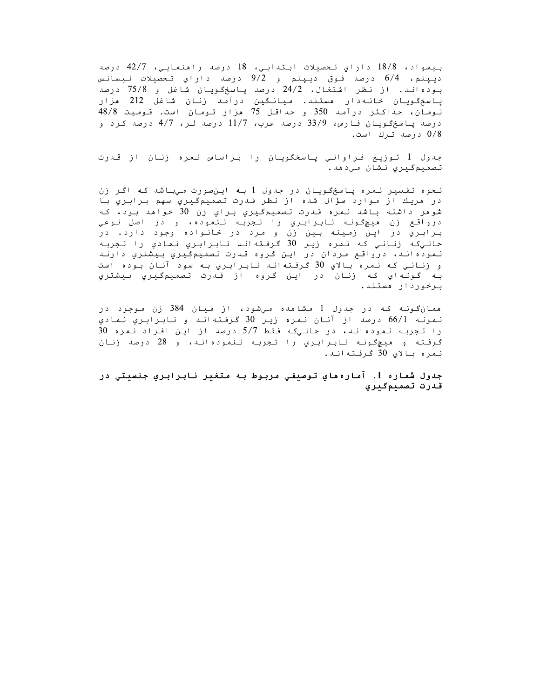بيسواد، 18/8 داراي تحصيلات ابتدايي، 18 درصد راهنمايي، 42/7 درصد ديپلم، 6/4 درصد فوق ديپلم و 9/2 درصد داراي تحصيلات ليسانس بوده اند. از نظر اشتغال، 24/2 درصد پاسخگویان شاغل و 75/8 درصد پاسخگویان خانـهدار هستند. میانـگین درآمـد زنان شاغل 212 هزار .<br>تـومـان، حـداكـثـر درآمـد 350 و حـداقـل 75 هزار تـومـان است. قـومـيـت 48/8 درصد پاسخگویان فارس، 33/9 درصد عرب، 11/7 درصد لـر، 4/7 درصد کرد و 0/8 درصد ترك است.

جدول 1 تـوزيـع فـراوانـي پـاسخگويـان را بـراساس نـمره زنـان از قـدرت تصميم گيري نشان مي دهد.

نحوه تفسیر نمره پاسخگویان در جدول 1 به اینصورت میباشد که اگر زن در مريك از موارد سؤال شده از نظر قدرت تصميمگيري سهم برابري با شوهر داشته باشد نمره قدرت تصميمگيري براي زن 30 خواهد بود، كه درواقع زن هيچگونه نابرابري را تجربه ننموده، و در اصل نوعي برابري در اين زمينه بين زن و مرد در خانواده وجود دارد. در حالیکه زنانی که نمره زیر 30 گرفتهاند نابرابری نمادی را تجربه نموده اند، درواقع مردان در اين گروه قدرت تصميمگيري بيشتري دارند و زناني كه نمره بالاي 30 گرفتهاند نابرابري به سود آنان بوده است بـه گـونـهاي كـه زنـان در ايـن گـروه از قـدرت تـصميمگـيـري بـيشتري برخوردار هستند.

همانگونـه کـه در جدول 1 مشاهده مـیشود، از مـیان 384 زن مـوجود در نمونه 66/1 درصد از آنان نمره زير 30 گرفتهاند و نابرابري نمادي را تجربه نموده اند، در حالیکه فقط 5/7 درصد از این افراد نمره 30 گرفته و هیچگونه نابرابري را تجربه ننمودهاند، و 28 درصد زنان نمره بالاي 30 گرفتهاند.

جدول شماره 1. آماره ماي توصيفي مربوط به متغير نابرابري جنسيتي در قدرت تصميمگيري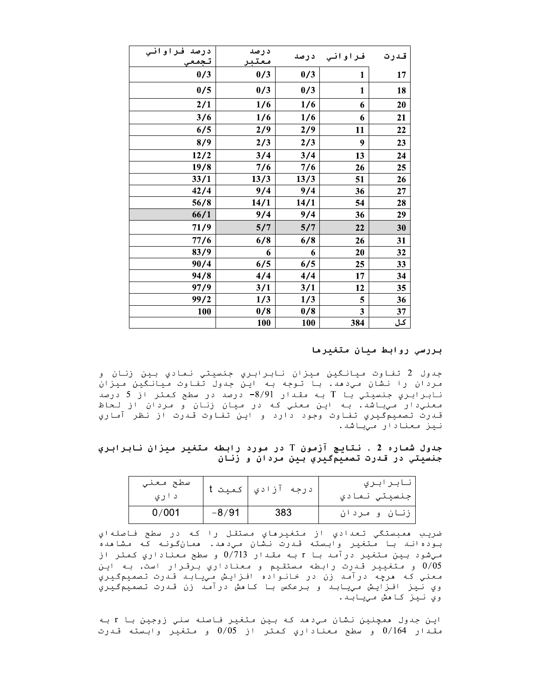| درصد فراوانی<br>تجمعي | درصد<br>معتبر |            | فراواني درصد | قدرت      |
|-----------------------|---------------|------------|--------------|-----------|
| 0/3                   | 0/3           | 0/3        | 1            | 17        |
| 0/5                   | 0/3           | 0/3        | 1            | 18        |
| 2/1                   | 1/6           | 1/6        | 6            | 20        |
| 3/6                   | 1/6           | 1/6        | 6            | 21        |
| 6/5                   | 2/9           | 2/9        | 11           | 22        |
| 8/9                   | 2/3           | 2/3        | 9            | 23        |
| 12/2                  | 3/4           | 3/4        | 13           | 24        |
| 19/8                  | 7/6           | 7/6        | 26           | 25        |
| 33/1                  | 13/3          | 13/3       | 51           | 26        |
| 42/4                  | 9/4           | 9/4        | 36           | 27        |
| 56/8                  | 14/1          | 14/1       | 54           | 28        |
| 66/1                  | 9/4           | 9/4        | 36           | 29        |
| 71/9                  | 5/7           | 5/7        | 22           | 30        |
| 77/6                  | 6/8           | 6/8        | 26           | 31        |
| 83/9                  | 6             | 6          | 20           | 32        |
| 90/4                  | 6/5           | 6/5        | 25           | 33        |
| 94/8                  | 4/4           | 4/4        | 17           | 34        |
| 97/9                  | 3/1           | 3/1        | 12           | 35        |
| 99/2                  | 1/3           | 1/3        | 5            | 36        |
| 100                   | 0/8           | 0/8        | 3            | 37        |
|                       | <b>100</b>    | <b>100</b> | 384          | <u>کل</u> |

### بررسی روابط میان متغیرها

جدول 2 تفاوت میانگین میزان نابرابری جنسیتی نمادی بین زنان و مردان را نشان میدهد. با توجه به این جدول تفاوت میانگین میزان نابرابري جنسيتي با T به مقدار 8/91− درصد در سطح کمتر از 5 درصد معني دار مي باشد. به اين معني كه در ميان زنان و مردان از لحاظ قـدرت تـصميمگـيري تـفـاوت وجود دارد و ايـن تـفـاوت قـدرت از نـظر آمـاري نيز معنادار ميباشد.

### جدول شماره 2 . نتايج آزمون T در مورد رابطه متغير ميزان نابرابري جنسيتي در قدرت تصميمگيري بين مردان و زنان

| سطح معني<br>د اري |         | درجه آزادي كميت | نابرابري<br>جنسيتي نمادي |
|-------------------|---------|-----------------|--------------------------|
| 0/001             | $-8/91$ | 383             | زنان و مردان             |

ضريب ممبستگي تعدادي از متغيرماي مستقل را كه در سطح فاصلهاي بوده اند با مُتغير وابسته قدرت نشان مي دهد. ممانگونه كه مشامده میشود بین متغیر درآمد با r به مقدار 0/713 و سطح معناداریِ کمتر از 0/05 و متغيير قدرت رابطه مستقيم و معناداري برقرار است. به اين معني كه مرچه درآمد زن در خانواده افزايش مييابد قدرت تصميمگيري وي نيز افـزايـش مـييابـد و بـرعكس بـا كـامش درآمـد زن قـدرت تـصميمگـيري وي نيز كا هش مييابد.

اين جدول همچنين نشان مي‹هد که بين متغير فاصله سني زوجين با r به مقدار 0/164 و سطح معناداري كمتر از 0/05 و متغير وابسته قدرت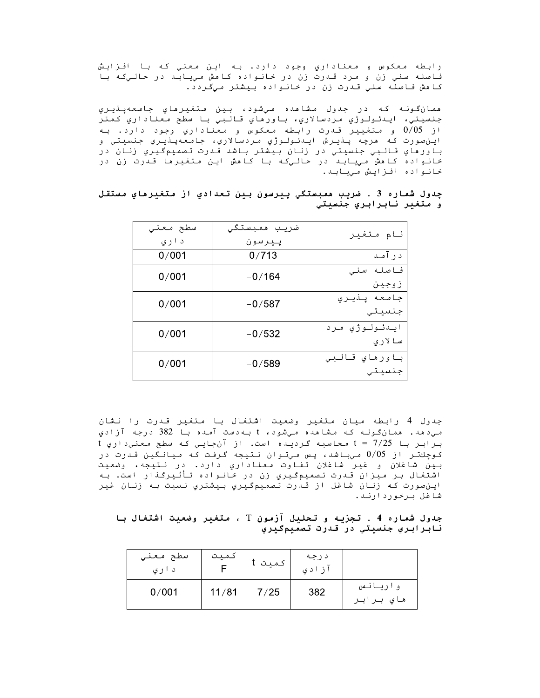رابطه معکوس و معناداري وجود دارد. به اين معني که با افـزايش فاصله سني زن و مرد قدرت زن در خانواده کاهش مييابد در حاليکه با كامش فاصله سني قدرت زن در خانواده بيشتر ميگردد.

همانگونه که در جدول مشاهده ميشود، بين متغيرهاي جامعهپنډيري جنسيتي، ايـدئـولـوژي مـردسالاري، بـاورهاي قـالـبي بـا سطح معناداري كـمتر از 0/05 و متغییر قدرت رابطه معکوس و معناداري وجود دارد. به اين صورت كه مرچه پنيرش ايدئولوژي مردسالاري، جامعهپنيري جنسيتي و باورماي قالبي جنسيتي در زنان بيشتر باشد قدرت تصميمگيري زنان در خانواده کامش مييابد در حاليکه با کامش اين متغيرما قدرت زن در خانواده افزايش مييابد.

| نام متغير                | ضريب همبستگى<br>پيرسون | سطح معنى<br>د اري |
|--------------------------|------------------------|-------------------|
| د ر آمـد                 | 0/713                  | 0/001             |
| فاصله سنى<br>زوجين       | $-0/164$               | 0/001             |
| جامعه پنډيري<br>جنسيتي   | $-0/587$               | 0/001             |
| ايىدئولوژي مرد<br>سالارى | $-0/532$               | 0/001             |
| باورهاي قالبي<br>جنسيتي  | $-0/589$               | 0/001             |

چدول شماره 3 . ضريب ممبستگي پيرسون بين تعدادي از متغيرماي مستقل و متغير نابرابري جنسيتي

جدول 4 رابطه ميان متغير وضعيت اشتغال با متغير قدرت را نشان می دهد. همانگونـه کـه مشاهده میشود، t بـه دست آمده بـا 382 درجه آزادي برابر با t = 7/25 محاسبه گردیده است. از آنجایی که سطح معنیداری t کوچكتر از 0/05 ميباشد، پس ميتوان نتيجه گرفت که ميانگين قدرت در بين شاغلان و غير شاغلان تفاوت معناداري دارد. در نتيجه، وضعيت اشتغال بر میزان قدرت تصمیمگیریِ زن در خانواده تأثیرگذار است. به اين صورت که زنان شاغل از قدرت تصميمگيري بيشتري نسبت به زنان غير شاغل برخوردارند.

جدول شماره 4 . تجزيه و تحليل آزمون T ، متغير وضعيت اشتغال با نابرابري جنسيتي در قدرت تصميمگيري

| سطح معني<br>د اري | كميت  | لمنت<br>- - | د رجه<br>ا د ي |                      |
|-------------------|-------|-------------|----------------|----------------------|
| 0/001             | 11/81 | 7/25        | 382            | واريانس<br>هاي برابر |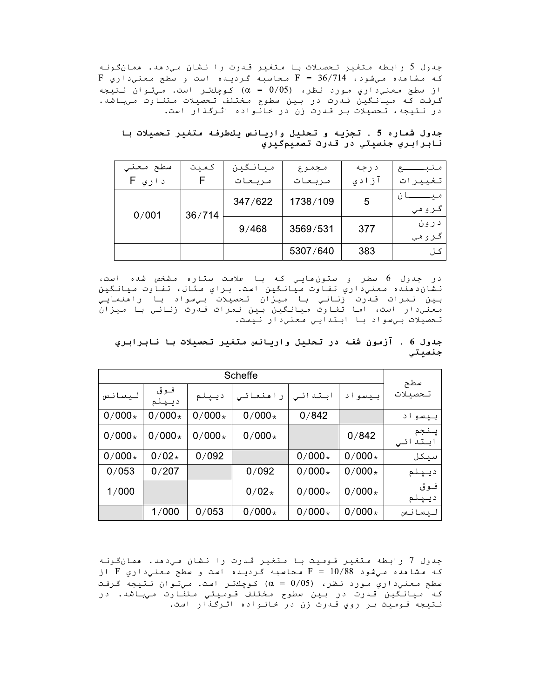جدول 3 رابطه متغیر تحصیلات با متغیر قدرت را نشان میدهد. همانگونه که مشاهده ميشود، ۲۰/۱4 = ۲ محاسبه گرديده است و سطح معنيداري t .ول 5 رابطه متغير تحصيلات با متغير قدرت را نشان<br>· مشاهده ميشود، F = 36/714 محاسبه گرديده است<br>ـ سطح معنيداري مورد نظر، (0/05 = 0 محاسبه گرديده است<br>.فت كه ميانگين قدرت در بين سطوح مختلف تحصيلان<br>.**ول شماره 5 . تجزيه و تحليل** از سطح معنی داري مورد نظر،  $( \alpha = 0/05 )$  کوچكتر است. میتوان نتیجه گرفت که میانگین قدرت در بین سطوح مختلف تحصیلات متفاوت میباشد. در نتیجه، تحصیلات بر قدرت زن در خانواده اثرگذار است.

# جدول شماره 5 . تجزيه و تحليل واريانس يلطرفه متغير تحصيلات با نابرابري جنسيتي در قدرت تصميمگيري

| سطح معنى | كميت   | ميانگين | مجموع    | درجه  |         |
|----------|--------|---------|----------|-------|---------|
| د اري F  |        | مربعات  | مربعات   | آزادی | تغييرات |
|          |        | 347/622 | 1738/109 | 5     |         |
| 0/001    | 36/714 |         |          |       | گروهي   |
|          |        | 9/468   | 3569/531 | 377   | درون    |
|          |        |         |          |       | گروهي   |
|          |        |         | 5307/640 | 383   | کا ،    |

در جدول 6 سطر و ستون،مايي كه با علامت ستاره مشخص شده است، نشان‹منده معني‹اري تفاوت ميانگين است. براي متال، تفاوت ميانگين بين نمرات قدرت زناني با ميزان تحصيلات بيسواد با رامنمايي معنیدار است، اما تفاوت میانگین بین نمرات قدرت زنانی با میزان تحصيلات بيسواد با ابتدايي معني دار نيست.

|          | Scheffe      |          |          |          |          |                    |  |  |
|----------|--------------|----------|----------|----------|----------|--------------------|--|--|
| ليسانس   | فوق<br>ديپلم | ديپلم    | راهنمائی | ابتدائی  | بيسواد   | سطح<br>تحصىلات     |  |  |
| $0/000*$ | $0/000*$     | $0/000*$ | $0/000*$ | 0/842    |          | بيسواد             |  |  |
| $0/000*$ | $0/000*$     | $0/000*$ | $0/000*$ |          | 0/842    | ينجم<br>ابتد<br>ئے |  |  |
| $0/000*$ | $0/02*$      | 0/092    |          | $0/000*$ | $0/000*$ | سيكل               |  |  |
| 0/053    | 0/207        |          | 0/092    | $0/000*$ | $0/000*$ | ديپلم              |  |  |
| 1/000    |              |          | $0/02*$  | $0/000*$ | $0/000*$ | فوق<br>ديپلم       |  |  |
|          | 1/000        | 0/053    | $0/000*$ | $0/000*$ | $0/000*$ | ليسانس             |  |  |

جدول 6 . آزمون شفه در تحليل واريانس متغير تحصيلات با نابرابري جنسيتي

جدول / رابطه متغیر قـومیت بـا مـتغیر قـدرت را نـشان مـيدهد. همانگـونـه که مشاهده ميشود 8×/10 = ۴ محاسبه گرديده است و سطح معنيداري ۴ از سطح معنی داری مورد نظر، (0/05 = α) کوچلنتر است. میتوان نتیجه گرفت كه ميانگين قدرت در بين سطوح مختلف قوميتي متفاوت ميباشد. در نـتيجه قـومـيت بـر روي قـدرت زن در خـانـواده اتـرگـذار است.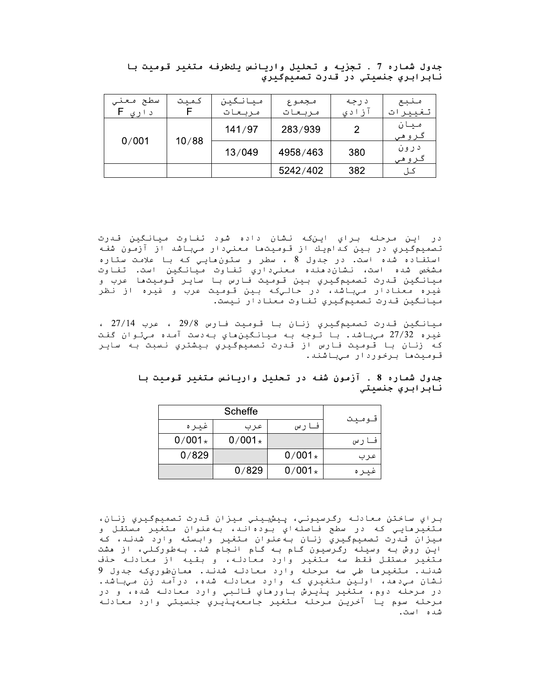| سطح<br>معنى<br>د ار ی | كميت  | ميانگين<br>مربعات | مجموع<br>مربعات | د رجه<br>. ز اد ي | منبع<br>لغيير<br>ت |
|-----------------------|-------|-------------------|-----------------|-------------------|--------------------|
| 0/001                 | 10/88 | 141/97            | 283/939         |                   | ميان<br>گروهي      |
|                       |       | 13/049            | 4958/463        | 380               | د رون<br>ـروھی     |
|                       |       |                   | 5242/402        | 382               |                    |

جدول شماره 7 . تجزيه و تحليل واريانس يكطرفه متغير قوميت با نابرابري جنسيتي در قدرت تصميمگيري

در اين مرحله براي اينكه نشان داده شود تفاوت ميانگين قدرت تصمیمگیری در بین کدامیك از قومیتها معنیدار میباشد از آزمون شفه استفاده شده است. در جدول 8 ، سطر و ستون هايي كه با علامت ستاره مشخص شده است، نشان‹دهنده معني‹اري تفاوت ميانگين است. تفاوت ميانگين قدرت تصميمگيري بين قـوميت فارس با ساير قـوميتما عرب و غيره معنادار ميباشد، در حاليکه بين قوميت عرب و غيره از نظر ميانگين قدرت تصميمگيري تفاوت معنادار نيست.

ميانگين قدرت تصميمگيري زنان با قوميت فارس 29/8 ، عرب 27/14 ، غيره 27/32 مي باشد. با توجه بـه مـيانـگين،هاي بـه‹ست آمـده مـيتـوان گفت كه زنان با قوميت فارس از قدرت تصميمگيري بيشتري نسبت به ساير قـومـيتھا بـرخموردار مـیباشند.

|  | جدول شماره 8 . آزمون شفه در تحليل واريانس متغير قوميت با |  |  |  |  |                 |
|--|----------------------------------------------------------|--|--|--|--|-----------------|
|  |                                                          |  |  |  |  | نابرابري جنسيتي |

|          | Scheffe  |          |       |
|----------|----------|----------|-------|
| غيره     | عر ب     | فارس     | فوميت |
| $0/001*$ | $0/001*$ |          | فارس  |
| 0/829    |          | $0/001*$ | عرب   |
|          | 0/829    | $0/001*$ | عىر ە |

براي ساختن معادله رگرسيوني، پيشبيني ميزان قدرت تصميمگيري زنان، متغيّرهايـي كه در سطح فاصلهاي بودهانـد، بـهعنوان متغير مستقل و ميزان قدرت تصميم گيري زنان به عنوان متغير وابسته وارد شدند، كه اين روش به وسيله رگرسيون گام به گام انجام شد. بهطورکلي، از هشت متغير مستقل فقط سه متغير وارد معادله، و بقيه از معادله حذف شدنـد. مـتغیرها طی سه مـرحله وارد معادلـه شدنـد. همانطوريکه جدول 9 نشان ميډمد، اولين متغيري که وارد معادله شده، درآمد زن ميباشد. در مرحله دوم، متغير پذيرش باورماي قالبي وارد معادله شده، و در مرحله سوم يا آخرين مرحله متغير جامعهپذيري جنسيتي وارد معادله شده است.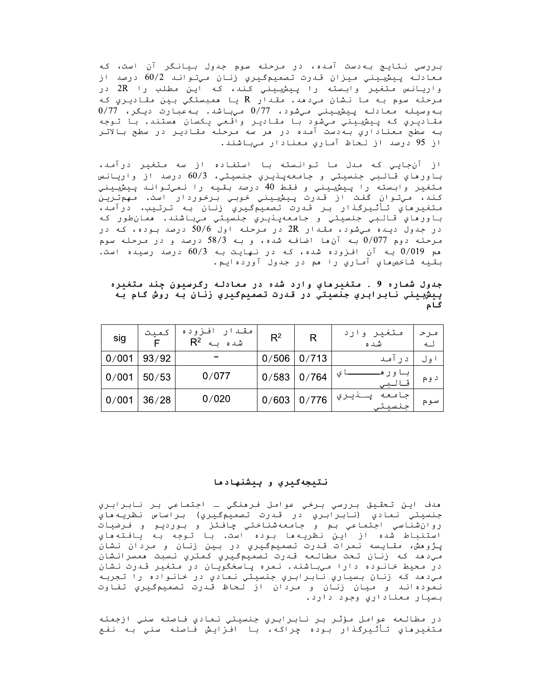بررسي نـتايـج بـه‹ست آمـده، در مـرحـلـه سوم جـدول بـيانـگر آن است، كـه معادله پیشبینی میزان قدرت تصمیمگیریِ زنان میتواند 60/2 درصد از واریانس متغیر وابسته را پیشبینی کند، که این مطلب را 2R در مرحله سوم به ما نشان ميڊهد. مقدار R يا همبستگي بين مقاديري که  $0/77$  به وسيله معادله پيش بيني مي شود،  $0/77$  ميباشد. به عبارت ديگر،  $77$ مقاديري كه پيش يني ميشود با مقادير واقعي يكسان مستند. با توجه به سطح معناداري بهدست آمده در مر سه مرحله مقادير در سطح بالاتر از 95 درصد از لحاظ آماري معنادار ميباشند.

از آن جایی که مدل ما توانسته با استفاده از سه متغیر درآمد، باورهاي قالبي جنسيتي و جامعهپنيري جنسيتي، 60/3 درصد از واريانس متغير وابسته را پيشبيني و فقط 40 درصد بقيه را نميتواند پيشبيني كند، ميتوان گفت از قدرت پيشبيني خوبي برخوردار است. مهمترين متغيرماي تأثيرگذار بر قدرت تصميمگيري زنان به ترتيب، درآمد، باورهاي قالبي جنسيتي و جامعهپنڍري جنسيتي ميباشند. همانطور که در جدول دینه میشود، مقدار 2R در مرحله اول 50/6 درصد بوده، که در مرحله دوم 0/077 به آنها اضافه شده، و به 58/3 درصد و در مرحله سوم هم 0/019 به آن افزوده شده، که در نهایت به 60/3 درصد رسیده است. بقيه شاخصٯاي آماري را مم در جدول آوردهايم.

جدول شماره 9 . متغيرماي وارد شده در معادله رگرسيون چند متغيره پيشبيني نابرابري جنسيتي در قدرت تصميمگيري زنان به روش گام به گام

| sig            | كميت  | افزوده<br>مقد<br>شد ہ<br>$R^2$ $\leftrightarrow$ | $R^2$ | R     | متغیر وارد<br>شد ه               | مرح<br>$\overline{1}$ |
|----------------|-------|--------------------------------------------------|-------|-------|----------------------------------|-----------------------|
| 0/001          | 93/92 |                                                  | 0/506 | 0/713 | د ر آمند                         | ا ول                  |
| $\mid 0/001$   | 50/53 | 0/077                                            | 0/583 | 0/764 | ي<br>و ر                         | د و م                 |
| $\sqrt{0.001}$ | 36/28 | 0/020                                            | 0/603 | 0/776 | حامعه<br>ﯩﺮﯨﻲ<br>. حنسي <u>ت</u> | سوم                   |

### نتيجهگيري و ييشنهادها

ھدف اپن تحقيق بررسي برخي عوامل فرھنگي ــ اجتماعي بر نابرابري جنسيتي نمادي (نابرابري در قدرت تصميمگيري) براساس نظريهماي استنباط شده از اين نظريهها بوده است. با توجه به يافتههاي پـژوهش، مقـایـسه نـمرات قـدرت تـصمیمگـیري در بـین زنـان و مـردان نـشان مي دهد كه زنان تحت مطالعه قدرت تصميمگيري كمتري نسبت همسرانشان در محیط خانوده دارا میباشند. نمره پاسخگویان در متغیر قدرت نشان مي دهد که زنان بسياري نابرابري جنسيتي نمادي در خانواده را تجربه نموده اند و ميان زنان و مردان از لحاظ قدرت تصميمگيري تفاوت بسيار معناداري وجود دارد.

در مطالعه عوامل مؤثر بر نابرابري جنسيتي نمادي فاصله سني ازجمله متغيرهاي تأثيرگذار بوده چراكه، با افزايش فاصله سني به نفع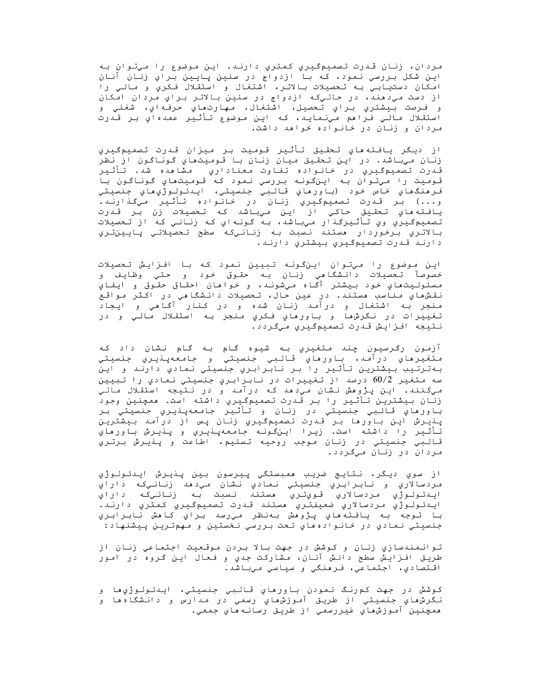مردان، زنان قدرت تصميمگيري كمتري دارند. اين موضوع را ميتوان به اين شکل بررسي نمود، که با ازدواج در سنين پايين براي زنان آنان از دست مي دهند، در حالي که ازدواج در سنين بالاتر براي مردان امکان و فـرصت بـيشتري بـراي تـحصيل، اشتغال، مـهارتهاي حرفـهاي، شغلي و استقلال مالي فـراهم مينمايـد، كـه ايـن مـوضوع تـأثـير عمدهاي بـر قـدرت مردان و زنان در خانواده خواهد داشت.

از ديگر يافته هاي تحقيق تأثير قوميت بر ميزان قدرت تصميمگيري زنان میباشد. در این تحقیق میان زنان با قومیتماي گوناگون از نظر قـدرت تـصّميمگـيـري در خـانـواده تـفـاوت معنـاداري مـشامده شد. تـأثـيـر<br>قـدرت تـصّميمگـيـري در خـانـواده بـررسي نـمود كـه قـومـيـتماي گـونـاگـون بـا فرمنگھاي خاص خود (باورهاي قالبي جنسيتي، ايـدئـولـوژيھاي جنسيتي و...) بر قدرت تصميمگيري زنان در خانواده تأثير ميگذارند. يافته هاي تحقيق حاكي از اين ميباشد كه تحصيلات زن بر قدرت تصميمگيري وي تأثيرگذار ميباشد، به گونهاي که زناني که از تحصيلات بالاتري برخوردار هستند نسبت به زنانيکه سطح تحصيلاتي پايينتري دارند قدرت تصميمگيري بيشتري دارند.

این موضوع را میتوان اینگونه تبیین نمود که با افزایش تحصیلات خصوصآ تحصيلات دانشگاهي زنان به حقوق خود و حتي وظايف و مسئوليتهاي خود بيشتر آگاه ميشونـد، و خواهان احقاق حقـوق و ايفاي نقش،هاي مناسب مستند. در عين حال، تحصيلات دانشگامي در اکثر مواقع منجر بـه اشتغال و درآمـد زنـان شده و در کـنار آگـامی و ایـجاد تغييرات در نگرشها و باورماي فكري منجر به استقلال مالي و در نتيجه افزايش قدرت تصميمگيري ميگردد.

آزمون رگرسيون چند متغيري به شيوه گـام بـه گـام نـشان داد كـه متغيرهاي درآمد، باورهاي قالبي جنسيتي و جامعهپنيري جنسيتي به ترتیب بیشترین تأثیر را بر نابرابری جنسیتی نمادی دارند و این سه متغیر 60/2 درصد از تغییرات در نابرابري جنسیتي نمادي را تبیین مي كنند. اين پژومش نشان مي دهد كه درآمد و در نتيجه استقلال مالي زنان بیشترین تآثیر را بر قدرت تصمیمگیری داشته است. ممچنین وجود باورماي قالبي جنسيتي در زنان و تأثير جامعهپنيري جنسيتي بر پنڍرش اين باورما بر قدرت تصميمگيري زنان پس از درآمد بيشترين .<br>تأثير را داشته است. زيرا اين⁄گونه جامعهپنڍري و پنڍرش باورهاي قالبي جنسيتي در زنان موجب روحيه تسليم، اطاعت و پنيرش برتري مردان در زنان میگردد.

از سوي ديگر، نتايج ضريب ممبستگي پيرسون بين پنيرش ايدئولوژي مردسالاري و نابرابري جنسيتي نمادي نشان مي دهد زنانيكه داراي ايىنئولوژي مردسالاري قويتري مستند نسبت به زنانيكه داراي ايىدئولوژي مردسالاري ضعيفتري مستند قىدرت تصميمگيري كمتري دارند. با توجه به يافتهماي پژوهش بهنظر ميرسد براي كاهش نابرابري جنسيتي نمادي در خانوادههاي تحت بررسي نخستين و مهمترين پيشنهاد:

توانمندسازي زنان و کوشش در جهت بالا بردن موقعیت اجتماعي زنان از طريق افزايش سطح دانش آنان، مشاركت جدي و فعال اين گروه در امور اقتصادي، اجتماعي، فرمنگي و سياسي ميباشد.

کـوشش در جهت کم<code>رنـگ نـمودن بـاورماي قـالـبي جنسيـتي، ايـدئـولـوژي</code>ها و نگرش،هاي جنسيتي از طريق آموزش،هاي رسمي در مدارس و دانشگاه،ا و همچنين آموزشھاي غيررسمي از طريق رسانهھاي جمعي.